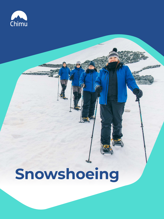



# **Snowshoeing**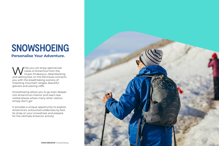While you can enjoy spectacular<br>vistas of Antarctica from the<br>ocean Endeavour, disembarking vistas of Antarctica from the Ocean Endeavour, disembarking and setting foot on the Peninsula connects you with the breathtaking scenery of imposing mountain ranges, beautiful glaciers and soaring cliffs.

Snowshoeing allows you to go even deeper into Antarctica's interior and reach less visited places where many other visitors simply don't go!

It provides a unique opportunity to explore Antarctica's untouched wilderness by foot. So strap on your snowshoes and prepare for the ultimate Antarctic activity.



# **SNOWSHOEING Personalise Your Adventure.**